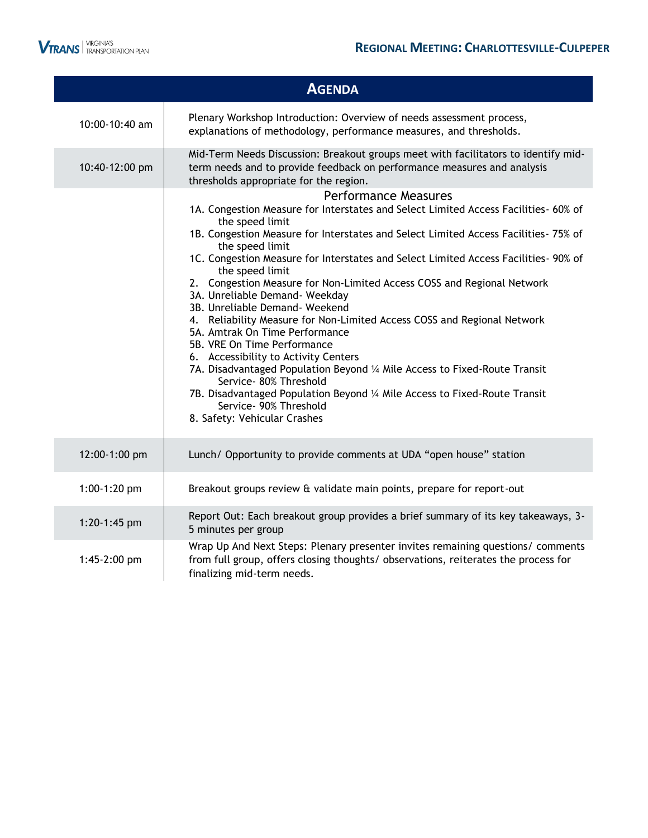

|                | <b>AGENDA</b>                                                                                                                                                                                                                                                                                                                                                                                                                                                                                                                                                                                                                                                                                                                                                                                                                                                                                                                               |
|----------------|---------------------------------------------------------------------------------------------------------------------------------------------------------------------------------------------------------------------------------------------------------------------------------------------------------------------------------------------------------------------------------------------------------------------------------------------------------------------------------------------------------------------------------------------------------------------------------------------------------------------------------------------------------------------------------------------------------------------------------------------------------------------------------------------------------------------------------------------------------------------------------------------------------------------------------------------|
| 10:00-10:40 am | Plenary Workshop Introduction: Overview of needs assessment process,<br>explanations of methodology, performance measures, and thresholds.                                                                                                                                                                                                                                                                                                                                                                                                                                                                                                                                                                                                                                                                                                                                                                                                  |
| 10:40-12:00 pm | Mid-Term Needs Discussion: Breakout groups meet with facilitators to identify mid-<br>term needs and to provide feedback on performance measures and analysis<br>thresholds appropriate for the region.                                                                                                                                                                                                                                                                                                                                                                                                                                                                                                                                                                                                                                                                                                                                     |
|                | <b>Performance Measures</b><br>1A. Congestion Measure for Interstates and Select Limited Access Facilities- 60% of<br>the speed limit<br>1B. Congestion Measure for Interstates and Select Limited Access Facilities- 75% of<br>the speed limit<br>1C. Congestion Measure for Interstates and Select Limited Access Facilities- 90% of<br>the speed limit<br>2. Congestion Measure for Non-Limited Access COSS and Regional Network<br>3A. Unreliable Demand- Weekday<br>3B. Unreliable Demand- Weekend<br>4. Reliability Measure for Non-Limited Access COSS and Regional Network<br>5A. Amtrak On Time Performance<br>5B. VRE On Time Performance<br>6. Accessibility to Activity Centers<br>7A. Disadvantaged Population Beyond 1/4 Mile Access to Fixed-Route Transit<br>Service- 80% Threshold<br>7B. Disadvantaged Population Beyond 1/4 Mile Access to Fixed-Route Transit<br>Service- 90% Threshold<br>8. Safety: Vehicular Crashes |
| 12:00-1:00 pm  | Lunch/ Opportunity to provide comments at UDA "open house" station                                                                                                                                                                                                                                                                                                                                                                                                                                                                                                                                                                                                                                                                                                                                                                                                                                                                          |
| 1:00-1:20 pm   | Breakout groups review & validate main points, prepare for report-out                                                                                                                                                                                                                                                                                                                                                                                                                                                                                                                                                                                                                                                                                                                                                                                                                                                                       |
| 1:20-1:45 pm   | Report Out: Each breakout group provides a brief summary of its key takeaways, 3-<br>5 minutes per group                                                                                                                                                                                                                                                                                                                                                                                                                                                                                                                                                                                                                                                                                                                                                                                                                                    |
| 1:45-2:00 pm   | Wrap Up And Next Steps: Plenary presenter invites remaining questions/ comments<br>from full group, offers closing thoughts/observations, reiterates the process for<br>finalizing mid-term needs.                                                                                                                                                                                                                                                                                                                                                                                                                                                                                                                                                                                                                                                                                                                                          |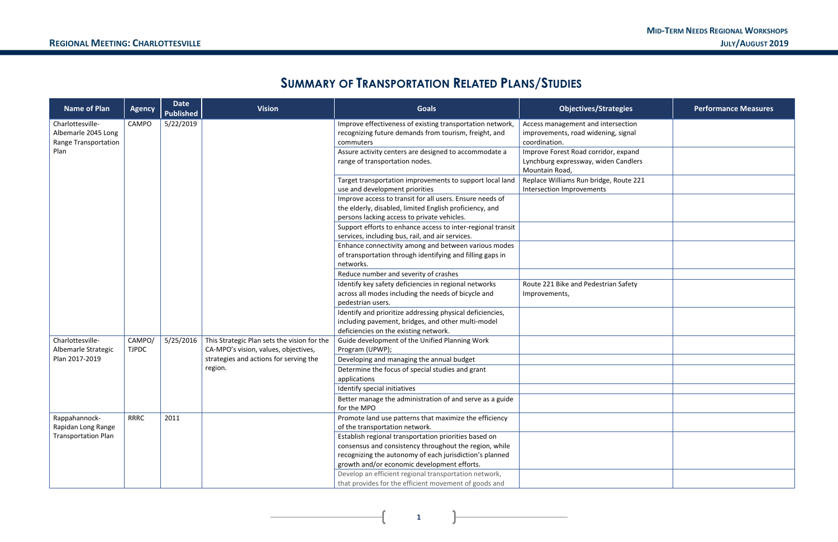11

#### **MID-TERM NEEDS REGIONAL WORKSHOPS REGIONAL MEETING: CHARLOTTESVILLE JULY/AUGUST 2019**

| egies              | <b>Performance Measures</b> |
|--------------------|-----------------------------|
| section<br>signal  |                             |
| expand<br>Candlers |                             |
| oute 221           |                             |
|                    |                             |
|                    |                             |
|                    |                             |
|                    |                             |
| Safety             |                             |
|                    |                             |
|                    |                             |
|                    |                             |
|                    |                             |
|                    |                             |
|                    |                             |
|                    |                             |
|                    |                             |
|                    |                             |
|                    |                             |

**1**

# **SUMMARY OF TRANSPORTATION RELATED PLANS/STUDIES**

| <b>Name of Plan</b>                                             | <b>Agency</b>          | <b>Date</b><br><b>Published</b> | <b>Vision</b>                                                                       | <b>Goals</b>                                                                                                                                                       | <b>Objectives/Strategies</b>                                                               | <b>Performance Measures</b> |
|-----------------------------------------------------------------|------------------------|---------------------------------|-------------------------------------------------------------------------------------|--------------------------------------------------------------------------------------------------------------------------------------------------------------------|--------------------------------------------------------------------------------------------|-----------------------------|
| Charlottesville-<br>Albemarle 2045 Long<br>Range Transportation | CAMPO                  | 5/22/2019                       |                                                                                     | Improve effectiveness of existing transportation network,<br>recognizing future demands from tourism, freight, and<br>commuters                                    | Access management and intersection<br>improvements, road widening, signal<br>coordination. |                             |
| Plan                                                            |                        |                                 |                                                                                     | Assure activity centers are designed to accommodate a                                                                                                              | Improve Forest Road corridor, expand                                                       |                             |
|                                                                 |                        |                                 |                                                                                     | range of transportation nodes.                                                                                                                                     | Lynchburg expressway, widen Candlers<br>Mountain Road,                                     |                             |
|                                                                 |                        |                                 |                                                                                     | Target transportation improvements to support local land<br>use and development priorities                                                                         | Replace Williams Run bridge, Route 221<br>Intersection Improvements                        |                             |
|                                                                 |                        |                                 |                                                                                     | Improve access to transit for all users. Ensure needs of<br>the elderly, disabled, limited English proficiency, and<br>persons lacking access to private vehicles. |                                                                                            |                             |
|                                                                 |                        |                                 |                                                                                     | Support efforts to enhance access to inter-regional transit<br>services, including bus, rail, and air services.                                                    |                                                                                            |                             |
|                                                                 |                        |                                 |                                                                                     | Enhance connectivity among and between various modes<br>of transportation through identifying and filling gaps in<br>networks.                                     |                                                                                            |                             |
|                                                                 |                        |                                 |                                                                                     | Reduce number and severity of crashes                                                                                                                              |                                                                                            |                             |
|                                                                 |                        |                                 |                                                                                     | Identify key safety deficiencies in regional networks                                                                                                              | Route 221 Bike and Pedestrian Safety                                                       |                             |
|                                                                 |                        |                                 |                                                                                     | across all modes including the needs of bicycle and<br>pedestrian users.                                                                                           | Improvements,                                                                              |                             |
|                                                                 |                        |                                 |                                                                                     | Identify and prioritize addressing physical deficiencies,<br>including pavement, bridges, and other multi-model<br>deficiencies on the existing network.           |                                                                                            |                             |
| Charlottesville-<br>Albemarle Strategic                         | CAMPO/<br><b>TJPDC</b> | 5/25/2016                       | This Strategic Plan sets the vision for the<br>CA-MPO's vision, values, objectives, | Guide development of the Unified Planning Work<br>Program (UPWP);                                                                                                  |                                                                                            |                             |
| Plan 2017-2019                                                  |                        |                                 | strategies and actions for serving the                                              | Developing and managing the annual budget                                                                                                                          |                                                                                            |                             |
|                                                                 |                        |                                 | region.                                                                             | Determine the focus of special studies and grant<br>applications                                                                                                   |                                                                                            |                             |
|                                                                 |                        |                                 |                                                                                     | Identify special initiatives                                                                                                                                       |                                                                                            |                             |
|                                                                 |                        |                                 |                                                                                     | Better manage the administration of and serve as a guide<br>for the MPO                                                                                            |                                                                                            |                             |
| Rappahannock-<br>Rapidan Long Range                             | <b>RRRC</b>            | 2011                            |                                                                                     | Promote land use patterns that maximize the efficiency<br>of the transportation network.                                                                           |                                                                                            |                             |
| <b>Transportation Plan</b>                                      |                        |                                 |                                                                                     | Establish regional transportation priorities based on<br>consensus and consistency throughout the region, while                                                    |                                                                                            |                             |
|                                                                 |                        |                                 |                                                                                     | recognizing the autonomy of each jurisdiction's planned                                                                                                            |                                                                                            |                             |
|                                                                 |                        |                                 |                                                                                     | growth and/or economic development efforts.                                                                                                                        |                                                                                            |                             |
|                                                                 |                        |                                 |                                                                                     | Develop an efficient regional transportation network,<br>that provides for the efficient movement of goods and                                                     |                                                                                            |                             |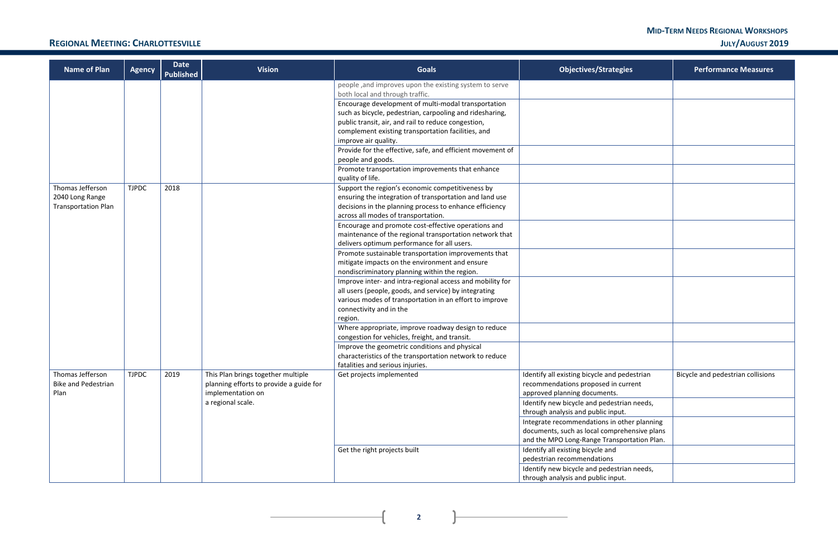#### **MID-TERM NEEDS REGIONAL WORKSHOPS REGIONAL MEETING: CHARLOTTESVILLE JULY/AUGUST 2019**

 $\mathbf{R}$ 

 $\overline{+}$ 

| <b>Name of Plan</b>                            | <b>Agency</b> | Date<br><b>Published</b> | <b>Vision</b>                                                                 | <b>Goals</b>                                                                                              | <b>Objectives/Strategies</b>                                                        | <b>Performance Measures</b>       |
|------------------------------------------------|---------------|--------------------------|-------------------------------------------------------------------------------|-----------------------------------------------------------------------------------------------------------|-------------------------------------------------------------------------------------|-----------------------------------|
|                                                |               |                          |                                                                               | people, and improves upon the existing system to serve<br>both local and through traffic.                 |                                                                                     |                                   |
|                                                |               |                          |                                                                               | Encourage development of multi-modal transportation                                                       |                                                                                     |                                   |
|                                                |               |                          |                                                                               | such as bicycle, pedestrian, carpooling and ridesharing,                                                  |                                                                                     |                                   |
|                                                |               |                          |                                                                               | public transit, air, and rail to reduce congestion,<br>complement existing transportation facilities, and |                                                                                     |                                   |
|                                                |               |                          |                                                                               | improve air quality.                                                                                      |                                                                                     |                                   |
|                                                |               |                          |                                                                               | Provide for the effective, safe, and efficient movement of                                                |                                                                                     |                                   |
|                                                |               |                          |                                                                               | people and goods.                                                                                         |                                                                                     |                                   |
|                                                |               |                          |                                                                               | Promote transportation improvements that enhance                                                          |                                                                                     |                                   |
|                                                |               |                          |                                                                               | quality of life.                                                                                          |                                                                                     |                                   |
| Thomas Jefferson                               | <b>TJPDC</b>  | 2018                     |                                                                               | Support the region's economic competitiveness by                                                          |                                                                                     |                                   |
| 2040 Long Range                                |               |                          |                                                                               | ensuring the integration of transportation and land use                                                   |                                                                                     |                                   |
| <b>Transportation Plan</b>                     |               |                          |                                                                               | decisions in the planning process to enhance efficiency<br>across all modes of transportation.            |                                                                                     |                                   |
|                                                |               |                          |                                                                               | Encourage and promote cost-effective operations and                                                       |                                                                                     |                                   |
|                                                |               |                          |                                                                               | maintenance of the regional transportation network that                                                   |                                                                                     |                                   |
|                                                |               |                          |                                                                               | delivers optimum performance for all users.                                                               |                                                                                     |                                   |
|                                                |               |                          |                                                                               | Promote sustainable transportation improvements that                                                      |                                                                                     |                                   |
|                                                |               |                          |                                                                               | mitigate impacts on the environment and ensure                                                            |                                                                                     |                                   |
|                                                |               |                          |                                                                               | nondiscriminatory planning within the region.                                                             |                                                                                     |                                   |
|                                                |               |                          |                                                                               | Improve inter- and intra-regional access and mobility for                                                 |                                                                                     |                                   |
|                                                |               |                          |                                                                               | all users (people, goods, and service) by integrating                                                     |                                                                                     |                                   |
|                                                |               |                          |                                                                               | various modes of transportation in an effort to improve<br>connectivity and in the                        |                                                                                     |                                   |
|                                                |               |                          |                                                                               | region.                                                                                                   |                                                                                     |                                   |
|                                                |               |                          |                                                                               | Where appropriate, improve roadway design to reduce                                                       |                                                                                     |                                   |
|                                                |               |                          |                                                                               | congestion for vehicles, freight, and transit.                                                            |                                                                                     |                                   |
|                                                |               |                          |                                                                               | Improve the geometric conditions and physical                                                             |                                                                                     |                                   |
|                                                |               |                          |                                                                               | characteristics of the transportation network to reduce                                                   |                                                                                     |                                   |
|                                                |               |                          |                                                                               | fatalities and serious injuries.                                                                          |                                                                                     |                                   |
| Thomas Jefferson<br><b>Bike and Pedestrian</b> | <b>TJPDC</b>  | 2019                     | This Plan brings together multiple<br>planning efforts to provide a guide for | Get projects implemented                                                                                  | Identify all existing bicycle and pedestrian<br>recommendations proposed in current | Bicycle and pedestrian collisions |
| Plan                                           |               |                          | implementation on                                                             |                                                                                                           | approved planning documents.                                                        |                                   |
|                                                |               |                          | a regional scale.                                                             |                                                                                                           | Identify new bicycle and pedestrian needs,                                          |                                   |
|                                                |               |                          |                                                                               |                                                                                                           | through analysis and public input.                                                  |                                   |
|                                                |               |                          |                                                                               |                                                                                                           | Integrate recommendations in other planning                                         |                                   |
|                                                |               |                          |                                                                               |                                                                                                           | documents, such as local comprehensive plans                                        |                                   |
|                                                |               |                          |                                                                               |                                                                                                           | and the MPO Long-Range Transportation Plan.                                         |                                   |
|                                                |               |                          |                                                                               | Get the right projects built                                                                              | Identify all existing bicycle and                                                   |                                   |
|                                                |               |                          |                                                                               |                                                                                                           | pedestrian recommendations                                                          |                                   |
|                                                |               |                          |                                                                               |                                                                                                           | Identify new bicycle and pedestrian needs,                                          |                                   |
|                                                |               |                          |                                                                               |                                                                                                           | through analysis and public input.                                                  |                                   |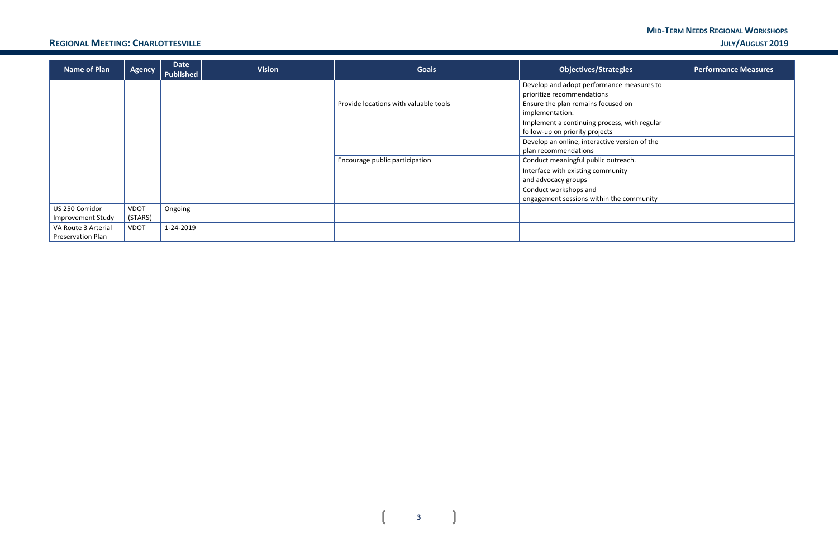#### **MID-TERM NEEDS REGIONAL WORKSHOPS REGIONAL MEETING: CHARLOTTESVILLE JULY/AUGUST 2019**

 $\mathbf{L}$ 

 $\mathbf{r}$ 

| <b>Name of Plan</b>                             | <b>Agency</b> | Date<br>Published | <b>Vision</b> | <b>Goals</b>                          | <b>Objectives/Strategies</b>                                                   | <b>Performance Measures</b> |
|-------------------------------------------------|---------------|-------------------|---------------|---------------------------------------|--------------------------------------------------------------------------------|-----------------------------|
|                                                 |               |                   |               |                                       | Develop and adopt performance measures to<br>prioritize recommendations        |                             |
|                                                 |               |                   |               | Provide locations with valuable tools | Ensure the plan remains focused on<br>implementation.                          |                             |
|                                                 |               |                   |               |                                       | Implement a continuing process, with regular<br>follow-up on priority projects |                             |
|                                                 |               |                   |               |                                       | Develop an online, interactive version of the<br>plan recommendations          |                             |
|                                                 |               |                   |               | Encourage public participation        | Conduct meaningful public outreach.                                            |                             |
|                                                 |               |                   |               |                                       | Interface with existing community<br>and advocacy groups                       |                             |
|                                                 |               |                   |               |                                       | Conduct workshops and<br>engagement sessions within the community              |                             |
| US 250 Corridor                                 | <b>VDOT</b>   | Ongoing           |               |                                       |                                                                                |                             |
| Improvement Study                               | (STARS)       |                   |               |                                       |                                                                                |                             |
| VA Route 3 Arterial<br><b>Preservation Plan</b> | <b>VDOT</b>   | 1-24-2019         |               |                                       |                                                                                |                             |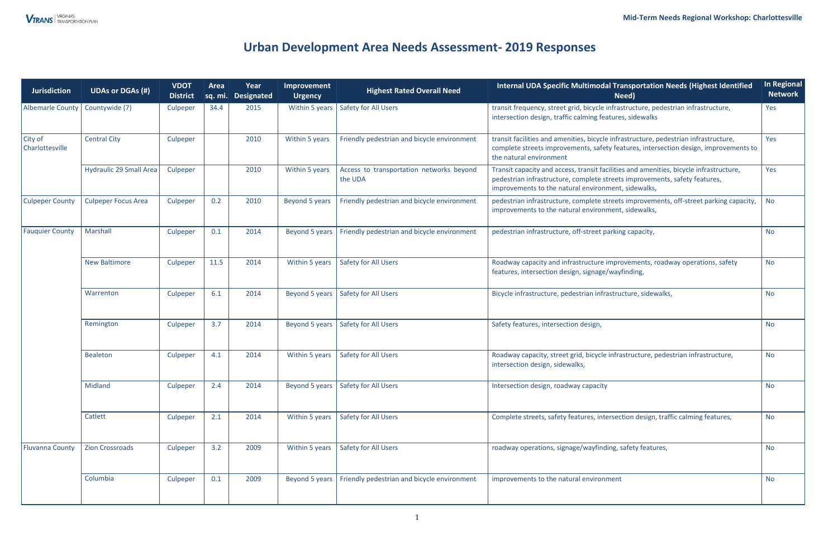| <b>Jurisdiction</b>        | <b>UDAs or DGAs (#)</b>                                                                                                                                                | <b>VDOT</b><br><b>District</b> | Area<br>sq. mi. | Year<br><b>Designated</b> | Improvement<br><b>Urgency</b> | <b>Highest Rated Overall Need</b>                   | Internal UDA Specific Multimodal Transportation Needs (Highest Identified<br>Need)                                                                                                                                          | In Regional<br><b>Network</b> |
|----------------------------|------------------------------------------------------------------------------------------------------------------------------------------------------------------------|--------------------------------|-----------------|---------------------------|-------------------------------|-----------------------------------------------------|-----------------------------------------------------------------------------------------------------------------------------------------------------------------------------------------------------------------------------|-------------------------------|
| Albemarle County           | Countywide (7)                                                                                                                                                         | Culpeper                       | 34.4            | 2015                      | Within 5 years                | <b>Safety for All Users</b>                         | transit frequency, street grid, bicycle infrastructure, pedestrian infrastructure,<br>intersection design, traffic calming features, sidewalks                                                                              | Yes                           |
| City of<br>Charlottesville | <b>Central City</b>                                                                                                                                                    | Culpeper                       |                 | 2010                      | Within 5 years                | Friendly pedestrian and bicycle environment         | transit facilities and amenities, bicycle infrastructure, pedestrian infrastructure,<br>complete streets improvements, safety features, intersection design, improvements to<br>the natural environment                     | Yes                           |
|                            | <b>Hydraulic 29 Small Area</b>                                                                                                                                         | Culpeper                       |                 | 2010                      | Within 5 years                | Access to transportation networks beyond<br>the UDA | Transit capacity and access, transit facilities and amenities, bicycle infrastructure,<br>pedestrian infrastructure, complete streets improvements, safety features,<br>improvements to the natural environment, sidewalks, | Yes                           |
| <b>Culpeper County</b>     | <b>Culpeper Focus Area</b>                                                                                                                                             | Culpeper                       | 0.2             | 2010                      | Beyond 5 years                | Friendly pedestrian and bicycle environment         | pedestrian infrastructure, complete streets improvements, off-street parking capacity,<br>improvements to the natural environment, sidewalks,                                                                               |                               |
| <b>Fauquier County</b>     | Friendly pedestrian and bicycle environment<br><b>Marshall</b><br>2014<br>Beyond 5 years<br>pedestrian infrastructure, off-street parking capacity,<br>Culpeper<br>0.1 |                                |                 | <b>No</b>                 |                               |                                                     |                                                                                                                                                                                                                             |                               |
|                            | <b>New Baltimore</b>                                                                                                                                                   | Culpeper                       | 11.5            | 2014                      | Within 5 years                | <b>Safety for All Users</b>                         | Roadway capacity and infrastructure improvements, roadway operations, safety<br>features, intersection design, signage/wayfinding,                                                                                          | <b>No</b>                     |
|                            | Warrenton                                                                                                                                                              | Culpeper                       | 6.1             | 2014                      | Beyond 5 years                | <b>Safety for All Users</b>                         | Bicycle infrastructure, pedestrian infrastructure, sidewalks,                                                                                                                                                               | <b>No</b>                     |
|                            | Remington                                                                                                                                                              | Culpeper                       | 3.7             | 2014                      | Beyond 5 years                | Safety for All Users                                | Safety features, intersection design,                                                                                                                                                                                       | <b>No</b>                     |
|                            | Bealeton                                                                                                                                                               | Culpeper                       | 4.1             | 2014                      | Within 5 years                | <b>Safety for All Users</b>                         | Roadway capacity, street grid, bicycle infrastructure, pedestrian infrastructure,<br>intersection design, sidewalks,                                                                                                        | <b>No</b>                     |
|                            | Midland                                                                                                                                                                | Culpeper                       | 2.4             | 2014                      |                               | Beyond 5 years   Safety for All Users               | Intersection design, roadway capacity                                                                                                                                                                                       | <b>No</b>                     |
|                            | Catlett                                                                                                                                                                | Culpeper                       | 2.1             | 2014                      | Within 5 years                | <b>Safety for All Users</b>                         | Complete streets, safety features, intersection design, traffic calming features,                                                                                                                                           | <b>No</b>                     |
| <b>Fluvanna County</b>     | <b>Zion Crossroads</b>                                                                                                                                                 | Culpeper                       | 3.2             | 2009                      | Within 5 years                | <b>Safety for All Users</b>                         | roadway operations, signage/wayfinding, safety features,                                                                                                                                                                    | <b>No</b>                     |
|                            | Columbia                                                                                                                                                               | Culpeper                       | 0.1             | 2009                      | Beyond 5 years                | Friendly pedestrian and bicycle environment         | improvements to the natural environment                                                                                                                                                                                     | <b>No</b>                     |

## **Urban Development Area Needs Assessment- 2019 Responses**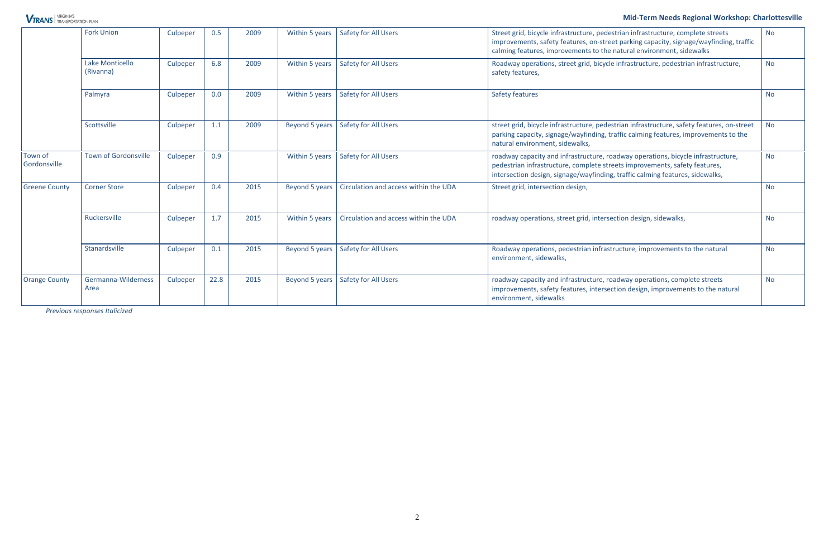#### **Mid-Term Needs Regional Workshop: Charlottesville**

*Previous responses Italicized* 

### **VTRANS** TRANSPORTATION PLAN

|                         | <b>Fork Union</b>            | Culpeper | 0.5  | 2009 | Within 5 years | <b>Safety for All Users</b>           | Street grid, bicycle infrastructure, pedestrian infrastructure, complete streets<br>improvements, safety features, on-street parking capacity, signage/wayfinding, traffic<br>calming features, improvements to the natural environment, sidewalks | <b>No</b> |
|-------------------------|------------------------------|----------|------|------|----------------|---------------------------------------|----------------------------------------------------------------------------------------------------------------------------------------------------------------------------------------------------------------------------------------------------|-----------|
|                         | Lake Monticello<br>(Rivanna) | Culpeper | 6.8  | 2009 | Within 5 years | <b>Safety for All Users</b>           | Roadway operations, street grid, bicycle infrastructure, pedestrian infrastructure,<br>safety features,                                                                                                                                            | <b>No</b> |
|                         | Palmyra                      | Culpeper | 0.0  | 2009 | Within 5 years | <b>Safety for All Users</b>           | Safety features                                                                                                                                                                                                                                    | <b>No</b> |
|                         | Scottsville                  | Culpeper | 1.1  | 2009 | Beyond 5 years | <b>Safety for All Users</b>           | street grid, bicycle infrastructure, pedestrian infrastructure, safety features, on-street<br>parking capacity, signage/wayfinding, traffic calming features, improvements to the<br>natural environment, sidewalks,                               | <b>No</b> |
| Town of<br>Gordonsville | <b>Town of Gordonsville</b>  | Culpeper | 0.9  |      | Within 5 years | <b>Safety for All Users</b>           | roadway capacity and infrastructure, roadway operations, bicycle infrastructure,<br>pedestrian infrastructure, complete streets improvements, safety features,<br>intersection design, signage/wayfinding, traffic calming features, sidewalks,    | <b>No</b> |
| <b>Greene County</b>    | <b>Corner Store</b>          | Culpeper | 0.4  | 2015 | Beyond 5 years | Circulation and access within the UDA | Street grid, intersection design,                                                                                                                                                                                                                  | <b>No</b> |
|                         | Ruckersville                 | Culpeper | 1.7  | 2015 | Within 5 years | Circulation and access within the UDA | roadway operations, street grid, intersection design, sidewalks,                                                                                                                                                                                   | <b>No</b> |
|                         | Stanardsville                | Culpeper | 0.1  | 2015 | Beyond 5 years | Safety for All Users                  | Roadway operations, pedestrian infrastructure, improvements to the natural<br>environment, sidewalks,                                                                                                                                              |           |
| <b>Orange County</b>    | Germanna-Wilderness<br>Area  | Culpeper | 22.8 | 2015 | Beyond 5 years | <b>Safety for All Users</b>           | roadway capacity and infrastructure, roadway operations, complete streets<br>improvements, safety features, intersection design, improvements to the natural<br>environment, sidewalks                                                             | <b>No</b> |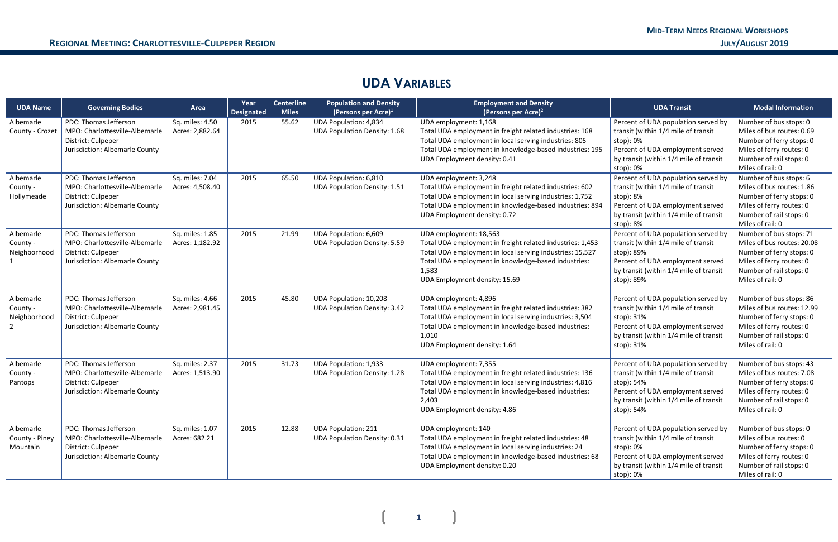$\mathbf{r}$ 

### **UDA VARIABLES**

| <b>UDA Name</b>                         | <b>Governing Bodies</b>                                                                                         | Area                               | Year<br><b>Designated</b> | <b>Centerline</b><br><b>Miles</b> | <b>Population and Density</b><br>(Persons per Acre) <sup>1</sup>    | <b>Employment and Density</b><br>(Persons per Acre) <sup>2</sup>                                                                                                                                                                                 | <b>UDA Transit</b>                                                                                                                                                                   | <b>Modal Information</b>                                                                                                                                     |
|-----------------------------------------|-----------------------------------------------------------------------------------------------------------------|------------------------------------|---------------------------|-----------------------------------|---------------------------------------------------------------------|--------------------------------------------------------------------------------------------------------------------------------------------------------------------------------------------------------------------------------------------------|--------------------------------------------------------------------------------------------------------------------------------------------------------------------------------------|--------------------------------------------------------------------------------------------------------------------------------------------------------------|
| Albemarle<br>County - Crozet            | PDC: Thomas Jefferson<br>MPO: Charlottesville-Albemarle<br>District: Culpeper<br>Jurisdiction: Albemarle County | Sq. miles: 4.50<br>Acres: 2,882.64 | 2015                      | 55.62                             | <b>UDA Population: 4,834</b><br><b>UDA Population Density: 1.68</b> | UDA employment: 1,168<br>Total UDA employment in freight related industries: 168<br>Total UDA employment in local serving industries: 805<br>Total UDA employment in knowledge-based industries: 195<br>UDA Employment density: 0.41             | Percent of UDA population served by<br>transit (within 1/4 mile of transit<br>stop): 0%<br>Percent of UDA employment served<br>by transit (within 1/4 mile of transit<br>stop): 0%   | Number of bus stops: 0<br>Miles of bus routes: 0.69<br>Number of ferry stops: 0<br>Miles of ferry routes: 0<br>Number of rail stops: 0<br>Miles of rail: 0   |
| Albemarle<br>County -<br>Hollymeade     | PDC: Thomas Jefferson<br>MPO: Charlottesville-Albemarle<br>District: Culpeper<br>Jurisdiction: Albemarle County | Sq. miles: 7.04<br>Acres: 4,508.40 | 2015                      | 65.50                             | <b>UDA Population: 6,810</b><br><b>UDA Population Density: 1.51</b> | UDA employment: 3,248<br>Total UDA employment in freight related industries: 602<br>Total UDA employment in local serving industries: 1,752<br>Total UDA employment in knowledge-based industries: 894<br>UDA Employment density: 0.72           | Percent of UDA population served by<br>transit (within 1/4 mile of transit<br>stop): 8%<br>Percent of UDA employment served<br>by transit (within 1/4 mile of transit<br>stop): 8%   | Number of bus stops: 6<br>Miles of bus routes: 1.86<br>Number of ferry stops: 0<br>Miles of ferry routes: 0<br>Number of rail stops: 0<br>Miles of rail: 0   |
| Albemarle<br>County -<br>Neighborhood   | PDC: Thomas Jefferson<br>MPO: Charlottesville-Albemarle<br>District: Culpeper<br>Jurisdiction: Albemarle County | Sq. miles: 1.85<br>Acres: 1,182.92 | 2015                      | 21.99                             | UDA Population: 6,609<br><b>UDA Population Density: 5.59</b>        | UDA employment: 18,563<br>Total UDA employment in freight related industries: 1,453<br>Total UDA employment in local serving industries: 15,527<br>Total UDA employment in knowledge-based industries:<br>1,583<br>UDA Employment density: 15.69 | Percent of UDA population served by<br>transit (within 1/4 mile of transit<br>stop): 89%<br>Percent of UDA employment served<br>by transit (within 1/4 mile of transit<br>stop): 89% | Number of bus stops: 71<br>Miles of bus routes: 20.08<br>Number of ferry stops: 0<br>Miles of ferry routes: 0<br>Number of rail stops: 0<br>Miles of rail: 0 |
| Albemarle<br>County -<br>Neighborhood   | PDC: Thomas Jefferson<br>MPO: Charlottesville-Albemarle<br>District: Culpeper<br>Jurisdiction: Albemarle County | Sq. miles: 4.66<br>Acres: 2,981.45 | 2015                      | 45.80                             | UDA Population: 10,208<br><b>UDA Population Density: 3.42</b>       | UDA employment: 4,896<br>Total UDA employment in freight related industries: 382<br>Total UDA employment in local serving industries: 3,504<br>Total UDA employment in knowledge-based industries:<br>1,010<br>UDA Employment density: 1.64      | Percent of UDA population served by<br>transit (within 1/4 mile of transit<br>stop): 31%<br>Percent of UDA employment served<br>by transit (within 1/4 mile of transit<br>stop): 31% | Number of bus stops: 86<br>Miles of bus routes: 12.99<br>Number of ferry stops: 0<br>Miles of ferry routes: 0<br>Number of rail stops: 0<br>Miles of rail: 0 |
| Albemarle<br>County -<br>Pantops        | PDC: Thomas Jefferson<br>MPO: Charlottesville-Albemarle<br>District: Culpeper<br>Jurisdiction: Albemarle County | Sq. miles: 2.37<br>Acres: 1,513.90 | 2015                      | 31.73                             | <b>UDA Population: 1,933</b><br><b>UDA Population Density: 1.28</b> | UDA employment: 7,355<br>Total UDA employment in freight related industries: 136<br>Total UDA employment in local serving industries: 4,816<br>Total UDA employment in knowledge-based industries:<br>2,403<br>UDA Employment density: 4.86      | Percent of UDA population served by<br>transit (within 1/4 mile of transit<br>stop): 54%<br>Percent of UDA employment served<br>by transit (within 1/4 mile of transit<br>stop): 54% | Number of bus stops: 43<br>Miles of bus routes: 7.08<br>Number of ferry stops: 0<br>Miles of ferry routes: 0<br>Number of rail stops: 0<br>Miles of rail: 0  |
| Albemarle<br>County - Piney<br>Mountain | PDC: Thomas Jefferson<br>MPO: Charlottesville-Albemarle<br>District: Culpeper<br>Jurisdiction: Albemarle County | Sq. miles: 1.07<br>Acres: 682.21   | 2015                      | 12.88                             | <b>UDA Population: 211</b><br><b>UDA Population Density: 0.31</b>   | UDA employment: 140<br>Total UDA employment in freight related industries: 48<br>Total UDA employment in local serving industries: 24<br>Total UDA employment in knowledge-based industries: 68<br>UDA Employment density: 0.20                  | Percent of UDA population served by<br>transit (within 1/4 mile of transit<br>stop): 0%<br>Percent of UDA employment served<br>by transit (within 1/4 mile of transit<br>stop): 0%   | Number of bus stops: 0<br>Miles of bus routes: 0<br>Number of ferry stops: 0<br>Miles of ferry routes: 0<br>Number of rail stops: 0<br>Miles of rail: 0      |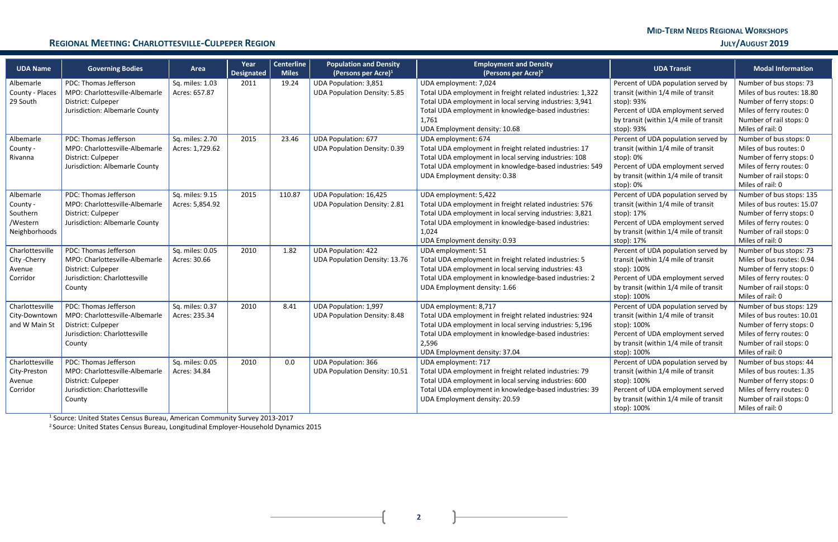**2**

#### **REGIONAL MEETING: CHARLOTTESVILLE-CULPEPER REGION <b>SECULAR CONVENTAGES JULY AUGUST 2019**

| <b>UDA Name</b>                                                | <b>Governing Bodies</b>                                                                                                  | Area                               | Year<br><b>Designated</b> | <b>Centerline</b><br><b>Miles</b> | <b>Population and Density</b><br>(Persons per Acre) $1$             | <b>Employment and Density</b><br>(Persons per Acre) <sup>2</sup>                                                                                                                                                                               | <b>UDA Transit</b>                                                                                                                                                                     | <b>Modal Information</b>                                                                                                                                      |
|----------------------------------------------------------------|--------------------------------------------------------------------------------------------------------------------------|------------------------------------|---------------------------|-----------------------------------|---------------------------------------------------------------------|------------------------------------------------------------------------------------------------------------------------------------------------------------------------------------------------------------------------------------------------|----------------------------------------------------------------------------------------------------------------------------------------------------------------------------------------|---------------------------------------------------------------------------------------------------------------------------------------------------------------|
| Albemarle<br>County - Places<br>29 South                       | PDC: Thomas Jefferson<br>MPO: Charlottesville-Albemarle<br>District: Culpeper<br>Jurisdiction: Albemarle County          | Sq. miles: 1.03<br>Acres: 657.87   | 2011                      | 19.24                             | <b>UDA Population: 3,851</b><br><b>UDA Population Density: 5.85</b> | UDA employment: 7,024<br>Total UDA employment in freight related industries: 1,322<br>Total UDA employment in local serving industries: 3,941<br>Total UDA employment in knowledge-based industries:<br>1,761<br>UDA Employment density: 10.68 | Percent of UDA population served by<br>transit (within 1/4 mile of transit<br>stop): 93%<br>Percent of UDA employment served<br>by transit (within 1/4 mile of transit<br>stop): 93%   | Number of bus stops: 73<br>Miles of bus routes: 18.80<br>Number of ferry stops: 0<br>Miles of ferry routes: 0<br>Number of rail stops: 0<br>Miles of rail: 0  |
| Albemarle<br>County -<br>Rivanna                               | PDC: Thomas Jefferson<br>MPO: Charlottesville-Albemarle<br>District: Culpeper<br>Jurisdiction: Albemarle County          | Sq. miles: 2.70<br>Acres: 1,729.62 | 2015                      | 23.46                             | <b>UDA Population: 677</b><br><b>UDA Population Density: 0.39</b>   | UDA employment: 674<br>Total UDA employment in freight related industries: 17<br>Total UDA employment in local serving industries: 108<br>Total UDA employment in knowledge-based industries: 549<br>UDA Employment density: 0.38              | Percent of UDA population served by<br>transit (within 1/4 mile of transit<br>stop): 0%<br>Percent of UDA employment served<br>by transit (within 1/4 mile of transit<br>stop): 0%     | Number of bus stops: 0<br>Miles of bus routes: 0<br>Number of ferry stops: 0<br>Miles of ferry routes: 0<br>Number of rail stops: 0<br>Miles of rail: 0       |
| Albemarle<br>County -<br>Southern<br>/Western<br>Neighborhoods | PDC: Thomas Jefferson<br>MPO: Charlottesville-Albemarle<br>District: Culpeper<br>Jurisdiction: Albemarle County          | Sq. miles: 9.15<br>Acres: 5,854.92 | 2015                      | 110.87                            | UDA Population: 16,425<br><b>UDA Population Density: 2.81</b>       | UDA employment: 5,422<br>Total UDA employment in freight related industries: 576<br>Total UDA employment in local serving industries: 3,821<br>Total UDA employment in knowledge-based industries:<br>1,024<br>UDA Employment density: 0.93    | Percent of UDA population served by<br>transit (within 1/4 mile of transit<br>stop): 17%<br>Percent of UDA employment served<br>by transit (within 1/4 mile of transit<br>stop): 17%   | Number of bus stops: 135<br>Miles of bus routes: 15.07<br>Number of ferry stops: 0<br>Miles of ferry routes: 0<br>Number of rail stops: 0<br>Miles of rail: 0 |
| Charlottesville<br>City - Cherry<br>Avenue<br>Corridor         | PDC: Thomas Jefferson<br>MPO: Charlottesville-Albemarle<br>District: Culpeper<br>Jurisdiction: Charlottesville<br>County | Sq. miles: 0.05<br>Acres: 30.66    | 2010                      | 1.82                              | <b>UDA Population: 422</b><br><b>UDA Population Density: 13.76</b>  | UDA employment: 51<br>Total UDA employment in freight related industries: 5<br>Total UDA employment in local serving industries: 43<br>Total UDA employment in knowledge-based industries: 2<br>UDA Employment density: 1.66                   | Percent of UDA population served by<br>transit (within 1/4 mile of transit<br>stop): 100%<br>Percent of UDA employment served<br>by transit (within 1/4 mile of transit<br>stop): 100% | Number of bus stops: 73<br>Miles of bus routes: 0.94<br>Number of ferry stops: 0<br>Miles of ferry routes: 0<br>Number of rail stops: 0<br>Miles of rail: 0   |
| Charlottesville<br>City-Downtown<br>and W Main St              | PDC: Thomas Jefferson<br>MPO: Charlottesville-Albemarle<br>District: Culpeper<br>Jurisdiction: Charlottesville<br>County | Sq. miles: 0.37<br>Acres: 235.34   | 2010                      | 8.41                              | <b>UDA Population: 1,997</b><br><b>UDA Population Density: 8.48</b> | UDA employment: 8,717<br>Total UDA employment in freight related industries: 924<br>Total UDA employment in local serving industries: 5,196<br>Total UDA employment in knowledge-based industries:<br>2,596<br>UDA Employment density: 37.04   | Percent of UDA population served by<br>transit (within 1/4 mile of transit<br>stop): 100%<br>Percent of UDA employment served<br>by transit (within 1/4 mile of transit<br>stop): 100% | Number of bus stops: 129<br>Miles of bus routes: 10.01<br>Number of ferry stops: 0<br>Miles of ferry routes: 0<br>Number of rail stops: 0<br>Miles of rail: 0 |
| Charlottesville<br>City-Preston<br>Avenue<br>Corridor          | PDC: Thomas Jefferson<br>MPO: Charlottesville-Albemarle<br>District: Culpeper<br>Jurisdiction: Charlottesville<br>County | Sq. miles: 0.05<br>Acres: 34.84    | 2010                      | 0.0                               | <b>UDA Population: 366</b><br><b>UDA Population Density: 10.51</b>  | UDA employment: 717<br>Total UDA employment in freight related industries: 79<br>Total UDA employment in local serving industries: 600<br>Total UDA employment in knowledge-based industries: 39<br>UDA Employment density: 20.59              | Percent of UDA population served by<br>transit (within 1/4 mile of transit<br>stop): 100%<br>Percent of UDA employment served<br>by transit (within 1/4 mile of transit<br>stop): 100% | Number of bus stops: 44<br>Miles of bus routes: 1.35<br>Number of ferry stops: 0<br>Miles of ferry routes: 0<br>Number of rail stops: 0<br>Miles of rail: 0   |

<sup>1</sup> Source: United States Census Bureau, American Community Survey 2013-2017

<sup>2</sup> Source: United States Census Bureau, Longitudinal Employer-Household Dynamics 2015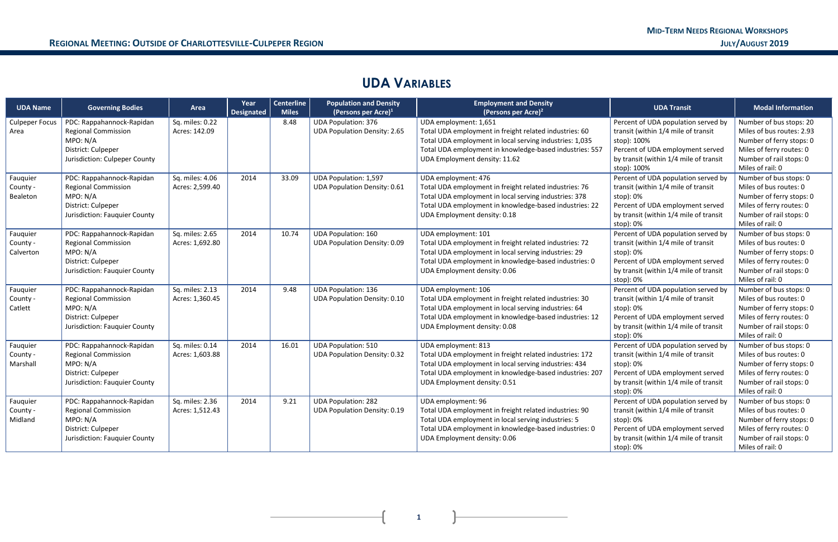## **UDA VARIABLES**

| <b>UDA Name</b>                   | <b>Governing Bodies</b>                                                                                                    | Area                               | Year<br><b>Designated</b> | <b>Centerline</b><br><b>Miles</b> | <b>Population and Density</b><br>(Persons per Acre) $1$             | <b>Employment and Density</b><br>(Persons per Acre) <sup>2</sup>                                                                                                                                                                       | <b>UDA Transit</b>                                                                                                                                                                     | <b>Modal Information</b>                                                                                                                                    |
|-----------------------------------|----------------------------------------------------------------------------------------------------------------------------|------------------------------------|---------------------------|-----------------------------------|---------------------------------------------------------------------|----------------------------------------------------------------------------------------------------------------------------------------------------------------------------------------------------------------------------------------|----------------------------------------------------------------------------------------------------------------------------------------------------------------------------------------|-------------------------------------------------------------------------------------------------------------------------------------------------------------|
| <b>Culpeper Focus</b><br>Area     | PDC: Rappahannock-Rapidan<br><b>Regional Commission</b><br>MPO: N/A<br>District: Culpeper<br>Jurisdiction: Culpeper County | Sq. miles: 0.22<br>Acres: 142.09   |                           | 8.48                              | <b>UDA Population: 376</b><br><b>UDA Population Density: 2.65</b>   | UDA employment: 1,651<br>Total UDA employment in freight related industries: 60<br>Total UDA employment in local serving industries: 1,035<br>Total UDA employment in knowledge-based industries: 557<br>UDA Employment density: 11.62 | Percent of UDA population served by<br>transit (within 1/4 mile of transit<br>stop): 100%<br>Percent of UDA employment served<br>by transit (within 1/4 mile of transit<br>stop): 100% | Number of bus stops: 20<br>Miles of bus routes: 2.93<br>Number of ferry stops: 0<br>Miles of ferry routes: 0<br>Number of rail stops: 0<br>Miles of rail: 0 |
| Fauquier<br>County -<br>Bealeton  | PDC: Rappahannock-Rapidan<br><b>Regional Commission</b><br>MPO: N/A<br>District: Culpeper<br>Jurisdiction: Fauquier County | Sq. miles: 4.06<br>Acres: 2,599.40 | 2014                      | 33.09                             | <b>UDA Population: 1,597</b><br><b>UDA Population Density: 0.61</b> | UDA employment: 476<br>Total UDA employment in freight related industries: 76<br>Total UDA employment in local serving industries: 378<br>Total UDA employment in knowledge-based industries: 22<br>UDA Employment density: 0.18       | Percent of UDA population served by<br>transit (within 1/4 mile of transit<br>stop): 0%<br>Percent of UDA employment served<br>by transit (within 1/4 mile of transit<br>stop): 0%     | Number of bus stops: 0<br>Miles of bus routes: 0<br>Number of ferry stops: 0<br>Miles of ferry routes: 0<br>Number of rail stops: 0<br>Miles of rail: 0     |
| Fauquier<br>County -<br>Calverton | PDC: Rappahannock-Rapidan<br><b>Regional Commission</b><br>MPO: N/A<br>District: Culpeper<br>Jurisdiction: Fauquier County | Sq. miles: 2.65<br>Acres: 1,692.80 | 2014                      | 10.74                             | <b>UDA Population: 160</b><br><b>UDA Population Density: 0.09</b>   | UDA employment: 101<br>Total UDA employment in freight related industries: 72<br>Total UDA employment in local serving industries: 29<br>Total UDA employment in knowledge-based industries: 0<br>UDA Employment density: 0.06         | Percent of UDA population served by<br>transit (within 1/4 mile of transit<br>stop): 0%<br>Percent of UDA employment served<br>by transit (within 1/4 mile of transit<br>stop): 0%     | Number of bus stops: 0<br>Miles of bus routes: 0<br>Number of ferry stops: 0<br>Miles of ferry routes: 0<br>Number of rail stops: 0<br>Miles of rail: 0     |
| Fauquier<br>County -<br>Catlett   | PDC: Rappahannock-Rapidan<br><b>Regional Commission</b><br>MPO: N/A<br>District: Culpeper<br>Jurisdiction: Fauquier County | Sq. miles: 2.13<br>Acres: 1,360.45 | 2014                      | 9.48                              | <b>UDA Population: 136</b><br><b>UDA Population Density: 0.10</b>   | UDA employment: 106<br>Total UDA employment in freight related industries: 30<br>Total UDA employment in local serving industries: 64<br>Total UDA employment in knowledge-based industries: 12<br>UDA Employment density: 0.08        | Percent of UDA population served by<br>transit (within 1/4 mile of transit<br>stop): 0%<br>Percent of UDA employment served<br>by transit (within 1/4 mile of transit<br>stop): 0%     | Number of bus stops: 0<br>Miles of bus routes: 0<br>Number of ferry stops: 0<br>Miles of ferry routes: 0<br>Number of rail stops: 0<br>Miles of rail: 0     |
| Fauquier<br>County -<br>Marshall  | PDC: Rappahannock-Rapidan<br><b>Regional Commission</b><br>MPO: N/A<br>District: Culpeper<br>Jurisdiction: Fauquier County | Sq. miles: 0.14<br>Acres: 1,603.88 | 2014                      | 16.01                             | <b>UDA Population: 510</b><br><b>UDA Population Density: 0.32</b>   | UDA employment: 813<br>Total UDA employment in freight related industries: 172<br>Total UDA employment in local serving industries: 434<br>Total UDA employment in knowledge-based industries: 207<br>UDA Employment density: 0.51     | Percent of UDA population served by<br>transit (within 1/4 mile of transit<br>stop): 0%<br>Percent of UDA employment served<br>by transit (within 1/4 mile of transit<br>stop): 0%     | Number of bus stops: 0<br>Miles of bus routes: 0<br>Number of ferry stops: 0<br>Miles of ferry routes: 0<br>Number of rail stops: 0<br>Miles of rail: 0     |
| Fauquier<br>County -<br>Midland   | PDC: Rappahannock-Rapidan<br><b>Regional Commission</b><br>MPO: N/A<br>District: Culpeper<br>Jurisdiction: Fauquier County | Sq. miles: 2.36<br>Acres: 1,512.43 | 2014                      | 9.21                              | <b>UDA Population: 282</b><br><b>UDA Population Density: 0.19</b>   | UDA employment: 96<br>Total UDA employment in freight related industries: 90<br>Total UDA employment in local serving industries: 5<br>Total UDA employment in knowledge-based industries: 0<br>UDA Employment density: 0.06           | Percent of UDA population served by<br>transit (within 1/4 mile of transit<br>stop): 0%<br>Percent of UDA employment served<br>by transit (within 1/4 mile of transit<br>stop): 0%     | Number of bus stops: 0<br>Miles of bus routes: 0<br>Number of ferry stops: 0<br>Miles of ferry routes: 0<br>Number of rail stops: 0<br>Miles of rail: 0     |

**1** 

 $\mathbf{R}$ 

 $\overline{+}$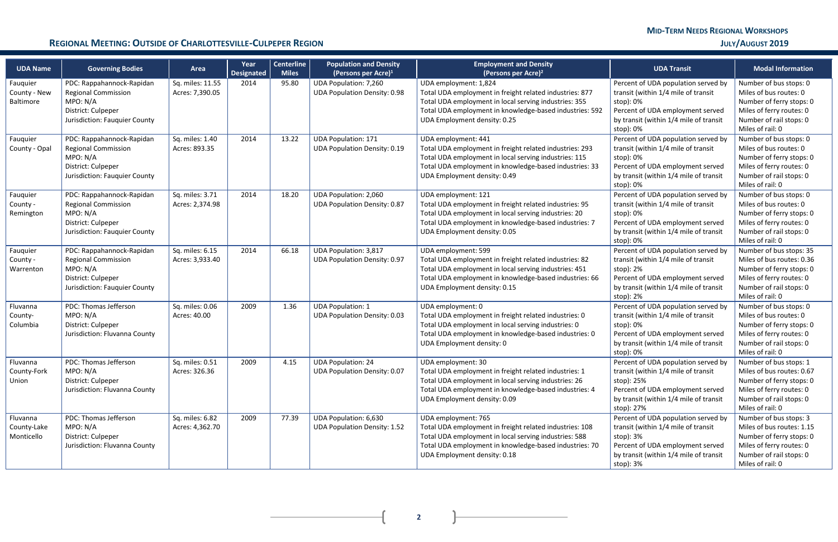**2**

 $\mathbf{I}$ 

 $\overline{\phantom{a}}$ 

### **REGIONAL MEETING: OUTSIDE OF CHARLOTTESVILLE-CULPEPER REGION <b>See Allen and the set of a control of a** control **J**ULY/AUGUST 2019

| <b>UDA Name</b>                       | <b>Governing Bodies</b>                                                                                                    | Area                                | Year<br><b>Designated</b> | <b>Centerline</b><br><b>Miles</b> | <b>Population and Density</b><br>(Persons per Acre) $1$             | <b>Employment and Density</b><br>(Persons per Acre) <sup>2</sup>                                                                                                                                                                     | <b>UDA Transit</b>                                                                                                                                                                   | <b>Modal Information</b>                                                                                                                                    |
|---------------------------------------|----------------------------------------------------------------------------------------------------------------------------|-------------------------------------|---------------------------|-----------------------------------|---------------------------------------------------------------------|--------------------------------------------------------------------------------------------------------------------------------------------------------------------------------------------------------------------------------------|--------------------------------------------------------------------------------------------------------------------------------------------------------------------------------------|-------------------------------------------------------------------------------------------------------------------------------------------------------------|
| Fauquier<br>County - New<br>Baltimore | PDC: Rappahannock-Rapidan<br><b>Regional Commission</b><br>MPO: N/A<br>District: Culpeper<br>Jurisdiction: Fauquier County | Sq. miles: 11.55<br>Acres: 7,390.05 | 2014                      | 95.80                             | <b>UDA Population: 7,260</b><br><b>UDA Population Density: 0.98</b> | UDA employment: 1,824<br>Total UDA employment in freight related industries: 877<br>Total UDA employment in local serving industries: 355<br>Total UDA employment in knowledge-based industries: 592<br>UDA Employment density: 0.25 | Percent of UDA population served by<br>transit (within 1/4 mile of transit<br>stop): 0%<br>Percent of UDA employment served<br>by transit (within 1/4 mile of transit<br>stop): 0%   | Number of bus stops: 0<br>Miles of bus routes: 0<br>Number of ferry stops: 0<br>Miles of ferry routes: 0<br>Number of rail stops: 0<br>Miles of rail: 0     |
| Fauquier<br>County - Opal             | PDC: Rappahannock-Rapidan<br><b>Regional Commission</b><br>MPO: N/A<br>District: Culpeper<br>Jurisdiction: Fauquier County | Sq. miles: 1.40<br>Acres: 893.35    | 2014                      | 13.22                             | <b>UDA Population: 171</b><br><b>UDA Population Density: 0.19</b>   | UDA employment: 441<br>Total UDA employment in freight related industries: 293<br>Total UDA employment in local serving industries: 115<br>Total UDA employment in knowledge-based industries: 33<br>UDA Employment density: 0.49    | Percent of UDA population served by<br>transit (within 1/4 mile of transit<br>stop): 0%<br>Percent of UDA employment served<br>by transit (within 1/4 mile of transit<br>stop): 0%   | Number of bus stops: 0<br>Miles of bus routes: 0<br>Number of ferry stops: 0<br>Miles of ferry routes: 0<br>Number of rail stops: 0<br>Miles of rail: 0     |
| Fauquier<br>County -<br>Remington     | PDC: Rappahannock-Rapidan<br><b>Regional Commission</b><br>MPO: N/A<br>District: Culpeper<br>Jurisdiction: Fauquier County | Sq. miles: 3.71<br>Acres: 2,374.98  | 2014                      | 18.20                             | <b>UDA Population: 2,060</b><br><b>UDA Population Density: 0.87</b> | UDA employment: 121<br>Total UDA employment in freight related industries: 95<br>Total UDA employment in local serving industries: 20<br>Total UDA employment in knowledge-based industries: 7<br>UDA Employment density: 0.05       | Percent of UDA population served by<br>transit (within 1/4 mile of transit<br>stop): 0%<br>Percent of UDA employment served<br>by transit (within 1/4 mile of transit<br>stop): 0%   | Number of bus stops: 0<br>Miles of bus routes: 0<br>Number of ferry stops: 0<br>Miles of ferry routes: 0<br>Number of rail stops: 0<br>Miles of rail: 0     |
| Fauquier<br>County -<br>Warrenton     | PDC: Rappahannock-Rapidan<br><b>Regional Commission</b><br>MPO: N/A<br>District: Culpeper<br>Jurisdiction: Fauquier County | Sq. miles: 6.15<br>Acres: 3,933.40  | 2014                      | 66.18                             | <b>UDA Population: 3,817</b><br><b>UDA Population Density: 0.97</b> | UDA employment: 599<br>Total UDA employment in freight related industries: 82<br>Total UDA employment in local serving industries: 451<br>Total UDA employment in knowledge-based industries: 66<br>UDA Employment density: 0.15     | Percent of UDA population served by<br>transit (within 1/4 mile of transit<br>stop): 2%<br>Percent of UDA employment served<br>by transit (within 1/4 mile of transit<br>stop): 2%   | Number of bus stops: 35<br>Miles of bus routes: 0.36<br>Number of ferry stops: 0<br>Miles of ferry routes: 0<br>Number of rail stops: 0<br>Miles of rail: 0 |
| Fluvanna<br>County-<br>Columbia       | PDC: Thomas Jefferson<br>MPO: N/A<br>District: Culpeper<br>Jurisdiction: Fluvanna County                                   | Sq. miles: 0.06<br>Acres: 40.00     | 2009                      | 1.36                              | <b>UDA Population: 1</b><br><b>UDA Population Density: 0.03</b>     | UDA employment: 0<br>Total UDA employment in freight related industries: 0<br>Total UDA employment in local serving industries: 0<br>Total UDA employment in knowledge-based industries: 0<br>UDA Employment density: 0              | Percent of UDA population served by<br>transit (within 1/4 mile of transit<br>stop): 0%<br>Percent of UDA employment served<br>by transit (within 1/4 mile of transit<br>stop): 0%   | Number of bus stops: 0<br>Miles of bus routes: 0<br>Number of ferry stops: 0<br>Miles of ferry routes: 0<br>Number of rail stops: 0<br>Miles of rail: 0     |
| Fluvanna<br>County-Fork<br>Union      | PDC: Thomas Jefferson<br>MPO: N/A<br>District: Culpeper<br>Jurisdiction: Fluvanna County                                   | Sq. miles: 0.51<br>Acres: 326.36    | 2009                      | 4.15                              | <b>UDA Population: 24</b><br><b>UDA Population Density: 0.07</b>    | UDA employment: 30<br>Total UDA employment in freight related industries: 1<br>Total UDA employment in local serving industries: 26<br>Total UDA employment in knowledge-based industries: 4<br>UDA Employment density: 0.09         | Percent of UDA population served by<br>transit (within 1/4 mile of transit<br>stop): 25%<br>Percent of UDA employment served<br>by transit (within 1/4 mile of transit<br>stop): 27% | Number of bus stops: 1<br>Miles of bus routes: 0.67<br>Number of ferry stops: 0<br>Miles of ferry routes: 0<br>Number of rail stops: 0<br>Miles of rail: 0  |
| Fluvanna<br>County-Lake<br>Monticello | PDC: Thomas Jefferson<br>MPO: N/A<br>District: Culpeper<br>Jurisdiction: Fluvanna County                                   | Sq. miles: 6.82<br>Acres: 4,362.70  | 2009                      | 77.39                             | UDA Population: 6,630<br><b>UDA Population Density: 1.52</b>        | UDA employment: 765<br>Total UDA employment in freight related industries: 108<br>Total UDA employment in local serving industries: 588<br>Total UDA employment in knowledge-based industries: 70<br>UDA Employment density: 0.18    | Percent of UDA population served by<br>transit (within 1/4 mile of transit<br>stop): 3%<br>Percent of UDA employment served<br>by transit (within 1/4 mile of transit<br>stop): 3%   | Number of bus stops: 3<br>Miles of bus routes: 1.15<br>Number of ferry stops: 0<br>Miles of ferry routes: 0<br>Number of rail stops: 0<br>Miles of rail: 0  |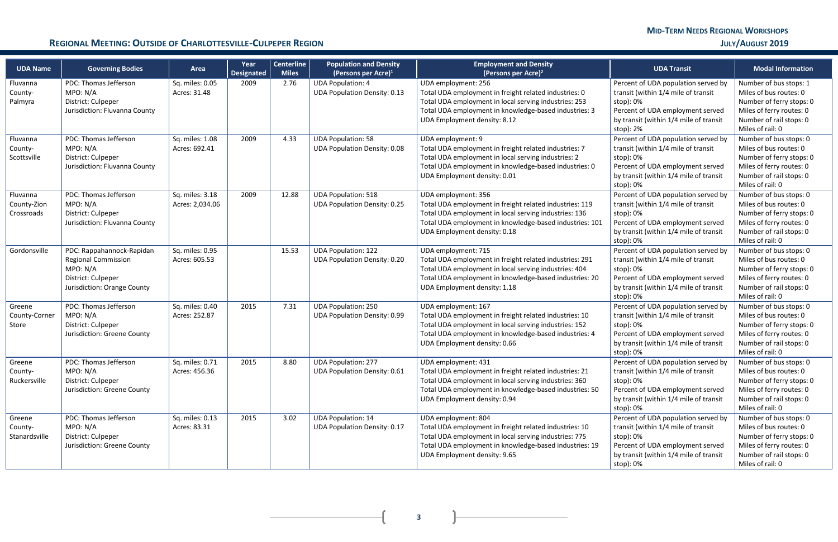**3**

 $\overline{+}$ 

 $\mathbf{r}$ 

### **REGIONAL MEETING: OUTSIDE OF CHARLOTTESVILLE-CULPEPER REGION <b>See Allen and the set of a control of a** control **J**ULY/AUGUST 2019

| <b>UDA Name</b>                       | <b>Governing Bodies</b>                                                                                                  | Area                               | Year<br>Designated | <b>Centerline</b><br><b>Miles</b> | <b>Population and Density</b><br>(Persons per Acre) <sup>1</sup>  | <b>Employment and Density</b><br>(Persons per Acre) <sup>2</sup>                                                                                                                                                                   | <b>UDA Transit</b>                                                                                                                                                                 | <b>Modal Information</b>                                                                                                                                |
|---------------------------------------|--------------------------------------------------------------------------------------------------------------------------|------------------------------------|--------------------|-----------------------------------|-------------------------------------------------------------------|------------------------------------------------------------------------------------------------------------------------------------------------------------------------------------------------------------------------------------|------------------------------------------------------------------------------------------------------------------------------------------------------------------------------------|---------------------------------------------------------------------------------------------------------------------------------------------------------|
| Fluvanna<br>County-<br>Palmyra        | PDC: Thomas Jefferson<br>MPO: N/A<br>District: Culpeper<br>Jurisdiction: Fluvanna County                                 | Sq. miles: 0.05<br>Acres: 31.48    | 2009               | 2.76                              | <b>UDA Population: 4</b><br><b>UDA Population Density: 0.13</b>   | UDA employment: 256<br>Total UDA employment in freight related industries: 0<br>Total UDA employment in local serving industries: 253<br>Total UDA employment in knowledge-based industries: 3<br>UDA Employment density: 8.12     | Percent of UDA population served by<br>transit (within 1/4 mile of transit<br>stop): 0%<br>Percent of UDA employment served<br>by transit (within 1/4 mile of transit<br>stop): 2% | Number of bus stops: 1<br>Miles of bus routes: 0<br>Number of ferry stops: 0<br>Miles of ferry routes: 0<br>Number of rail stops: 0<br>Miles of rail: 0 |
| Fluvanna<br>County-<br>Scottsville    | PDC: Thomas Jefferson<br>MPO: N/A<br>District: Culpeper<br>Jurisdiction: Fluvanna County                                 | Sq. miles: 1.08<br>Acres: 692.41   | 2009               | 4.33                              | <b>UDA Population: 58</b><br><b>UDA Population Density: 0.08</b>  | UDA employment: 9<br>Total UDA employment in freight related industries: 7<br>Total UDA employment in local serving industries: 2<br>Total UDA employment in knowledge-based industries: 0<br>UDA Employment density: 0.01         | Percent of UDA population served by<br>transit (within 1/4 mile of transit<br>stop): 0%<br>Percent of UDA employment served<br>by transit (within 1/4 mile of transit<br>stop): 0% | Number of bus stops: 0<br>Miles of bus routes: 0<br>Number of ferry stops: 0<br>Miles of ferry routes: 0<br>Number of rail stops: 0<br>Miles of rail: 0 |
| Fluvanna<br>County-Zion<br>Crossroads | PDC: Thomas Jefferson<br>MPO: N/A<br>District: Culpeper<br>Jurisdiction: Fluvanna County                                 | Sq. miles: 3.18<br>Acres: 2,034.06 | 2009               | 12.88                             | <b>UDA Population: 518</b><br><b>UDA Population Density: 0.25</b> | UDA employment: 356<br>Total UDA employment in freight related industries: 119<br>Total UDA employment in local serving industries: 136<br>Total UDA employment in knowledge-based industries: 101<br>UDA Employment density: 0.18 | Percent of UDA population served by<br>transit (within 1/4 mile of transit<br>stop): 0%<br>Percent of UDA employment served<br>by transit (within 1/4 mile of transit<br>stop): 0% | Number of bus stops: 0<br>Miles of bus routes: 0<br>Number of ferry stops: 0<br>Miles of ferry routes: 0<br>Number of rail stops: 0<br>Miles of rail: 0 |
| Gordonsville                          | PDC: Rappahannock-Rapidan<br><b>Regional Commission</b><br>MPO: N/A<br>District: Culpeper<br>Jurisdiction: Orange County | Sq. miles: 0.95<br>Acres: 605.53   |                    | 15.53                             | <b>UDA Population: 122</b><br><b>UDA Population Density: 0.20</b> | UDA employment: 715<br>Total UDA employment in freight related industries: 291<br>Total UDA employment in local serving industries: 404<br>Total UDA employment in knowledge-based industries: 20<br>UDA Employment density: 1.18  | Percent of UDA population served by<br>transit (within 1/4 mile of transit<br>stop): 0%<br>Percent of UDA employment served<br>by transit (within 1/4 mile of transit<br>stop): 0% | Number of bus stops: 0<br>Miles of bus routes: 0<br>Number of ferry stops: 0<br>Miles of ferry routes: 0<br>Number of rail stops: 0<br>Miles of rail: 0 |
| Greene<br>County-Corner<br>Store      | PDC: Thomas Jefferson<br>MPO: N/A<br>District: Culpeper<br>Jurisdiction: Greene County                                   | Sq. miles: 0.40<br>Acres: 252.87   | 2015               | 7.31                              | <b>UDA Population: 250</b><br><b>UDA Population Density: 0.99</b> | UDA employment: 167<br>Total UDA employment in freight related industries: 10<br>Total UDA employment in local serving industries: 152<br>Total UDA employment in knowledge-based industries: 4<br>UDA Employment density: 0.66    | Percent of UDA population served by<br>transit (within 1/4 mile of transit<br>stop): 0%<br>Percent of UDA employment served<br>by transit (within 1/4 mile of transit<br>stop): 0% | Number of bus stops: 0<br>Miles of bus routes: 0<br>Number of ferry stops: 0<br>Miles of ferry routes: 0<br>Number of rail stops: 0<br>Miles of rail: 0 |
| Greene<br>County-<br>Ruckersville     | PDC: Thomas Jefferson<br>MPO: N/A<br>District: Culpeper<br>Jurisdiction: Greene County                                   | Sq. miles: 0.71<br>Acres: 456.36   | 2015               | 8.80                              | <b>UDA Population: 277</b><br><b>UDA Population Density: 0.61</b> | UDA employment: 431<br>Total UDA employment in freight related industries: 21<br>Total UDA employment in local serving industries: 360<br>Total UDA employment in knowledge-based industries: 50<br>UDA Employment density: 0.94   | Percent of UDA population served by<br>transit (within 1/4 mile of transit<br>stop): 0%<br>Percent of UDA employment served<br>by transit (within 1/4 mile of transit<br>stop): 0% | Number of bus stops: 0<br>Miles of bus routes: 0<br>Number of ferry stops: 0<br>Miles of ferry routes: 0<br>Number of rail stops: 0<br>Miles of rail: 0 |
| Greene<br>County-<br>Stanardsville    | PDC: Thomas Jefferson<br>MPO: N/A<br>District: Culpeper<br>Jurisdiction: Greene County                                   | Sq. miles: 0.13<br>Acres: 83.31    | 2015               | 3.02                              | <b>UDA Population: 14</b><br><b>UDA Population Density: 0.17</b>  | UDA employment: 804<br>Total UDA employment in freight related industries: 10<br>Total UDA employment in local serving industries: 775<br>Total UDA employment in knowledge-based industries: 19<br>UDA Employment density: 9.65   | Percent of UDA population served by<br>transit (within 1/4 mile of transit<br>stop): 0%<br>Percent of UDA employment served<br>by transit (within 1/4 mile of transit<br>stop): 0% | Number of bus stops: 0<br>Miles of bus routes: 0<br>Number of ferry stops: 0<br>Miles of ferry routes: 0<br>Number of rail stops: 0<br>Miles of rail: 0 |